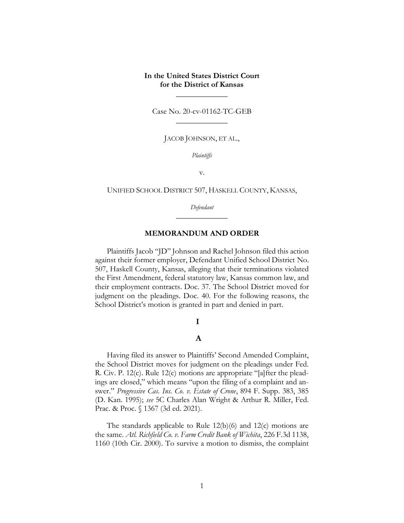# **In the United States District Court for the District of Kansas**

 $\overline{\phantom{a}}$  , where  $\overline{\phantom{a}}$ 

Case No. 20-cv-01162-TC-GEB  $\overline{\phantom{a}}$  , where  $\overline{\phantom{a}}$ 

JACOB JOHNSON, ET AL.,

*Plaintiffs*

v.

UNIFIED SCHOOL DISTRICT 507, HASKELL COUNTY, KANSAS,

*Defendant*  $\overline{\phantom{a}}$  , where  $\overline{\phantom{a}}$ 

## **MEMORANDUM AND ORDER**

Plaintiffs Jacob "JD" Johnson and Rachel Johnson filed this action against their former employer, Defendant Unified School District No. 507, Haskell County, Kansas, alleging that their terminations violated the First Amendment, federal statutory law, Kansas common law, and their employment contracts. Doc. 37. The School District moved for judgment on the pleadings. Doc. 40. For the following reasons, the School District's motion is granted in part and denied in part.

#### $\mathbf I$

## $\mathbf A$

Having filed its answer to Plaintiffs' Second Amended Complaint, the School District moves for judgment on the pleadings under Fed. R. Civ. P. 12(c). Rule 12(c) motions are appropriate "[a]fter the pleadings are closed," which means "upon the filing of a complaint and answer." *Progressive Cas. Ins. Co. v. Estate of Crone*, 894 F. Supp. 383, 385 (D. Kan. 1995); *see* 5C Charles Alan Wright & Arthur R. Miller, Fed. Prac. & Proc. § 1367 (3d ed. 2021).

The standards applicable to Rule 12(b)(6) and 12(c) motions are the same. *Atl. Richfield Co. v. Farm Credit Bank of Wichita*, 226 F.3d 1138, 1160 (10th Cir. 2000). To survive a motion to dismiss, the complaint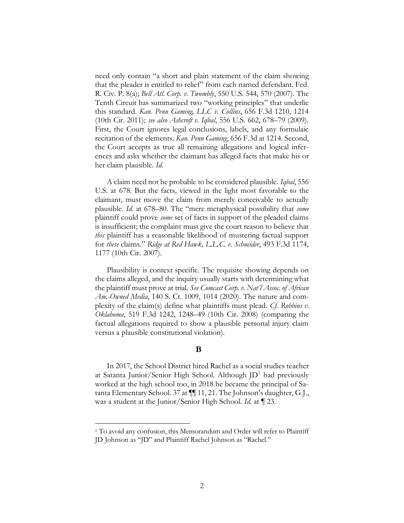need only contain "a short and plain statement of the claim showing that the pleader is entitled to relief" from each named defendant. Fed. R. Civ. P. 8(a); *Bell Atl. Corp. v. Twombly*, 550 U.S. 544, 570 (2007). The Tenth Circuit has summarized two "working principles" that underlie this standard. *Kan. Penn Gaming, LLC v. Collins*, 656 F.3d 1210, 1214 (10th Cir. 2011); *see also Ashcroft v. Iqbal*, 556 U.S. 662, 678–79 (2009). First, the Court ignores legal conclusions, labels, and any formulaic recitation of the elements. *Kan. Penn Gaming*, 656 F.3d at 1214. Second, the Court accepts as true all remaining allegations and logical inferences and asks whether the claimant has alleged facts that make his or her claim plausible. *Id.*

A claim need not be probable to be considered plausible. *Iqbal*, 556 U.S. at 678. But the facts, viewed in the light most favorable to the claimant, must move the claim from merely conceivable to actually plausible. *Id*. at 678–80. The "mere metaphysical possibility that *some* plaintiff could prove *some* set of facts in support of the pleaded claims is insufficient; the complaint must give the court reason to believe that *this* plaintiff has a reasonable likelihood of mustering factual support for *these* claims." *Ridge at Red Hawk, L.L.C. v. Schneider*, 493 F.3d 1174, 1177 (10th Cir. 2007).

Plausibility is context specific. The requisite showing depends on the claims alleged, and the inquiry usually starts with determining what the plaintiff must prove at trial. *See Comcast Corp. v. Nat'l Assoc. of African Am.-Owned Media*, 140 S. Ct. 1009, 1014 (2020). The nature and complexity of the claim(s) define what plaintiffs must plead. *Cf. Robbins v. Oklahoma*, 519 F.3d 1242, 1248–49 (10th Cir. 2008) (comparing the factual allegations required to show a plausible personal injury claim versus a plausible constitutional violation).

## $\bf{B}$

In 2017, the School District hired Rachel as a social studies teacher at Satanta Junior/Senior High School. Although  $[D^1]$  had previously worked at the high school too, in 2018 he became the principal of Satanta Elementary School. 37 at ¶¶ 11, 21. The Johnson's daughter, G.J., was a student at the Junior/Senior High School. *Id.* at ¶ 23.

<sup>&</sup>lt;sup>1</sup> To avoid any confusion, this Memorandum and Order will refer to Plaintiff JD Johnson as "JD" and Plaintiff Rachel Johnson as "Rachel."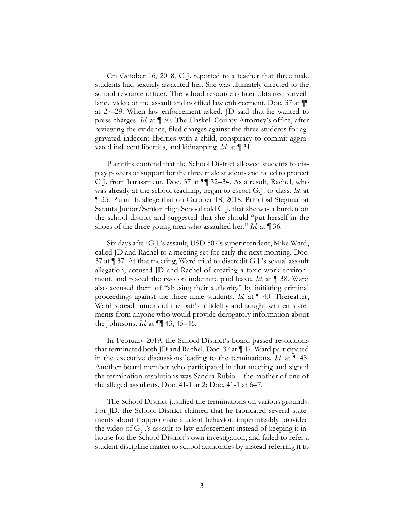On October 16, 2018, G.J. reported to a teacher that three male students had sexually assaulted her. She was ultimately directed to the school resource officer. The school resource officer obtained surveillance video of the assault and notified law enforcement. Doc. 37 at ¶¶ at 27–29. When law enforcement asked, JD said that he wanted to press charges. *Id.* at ¶ 30. The Haskell County Attorney's office, after reviewing the evidence, filed charges against the three students for aggravated indecent liberties with a child, conspiracy to commit aggravated indecent liberties, and kidnapping. *Id.* at ¶ 31.

Plaintiffs contend that the School District allowed students to display posters of support for the three male students and failed to protect G.J. from harassment. Doc. 37 at ¶¶ 32–34. As a result, Rachel, who was already at the school teaching, began to escort G.J. to class. *Id.* at ¶ 35. Plaintiffs allege that on October 18, 2018, Principal Stegman at Satanta Junior/Senior High School told G.J. that she was a burden on the school district and suggested that she should "put herself in the shoes of the three young men who assaulted her." *Id.* at ¶ 36.

Six days after G.J.'s assault, USD 507's superintendent, Mike Ward, called JD and Rachel to a meeting set for early the next morning. Doc. 37 at ¶ 37. At that meeting, Ward tried to discredit G.J.'s sexual assault allegation, accused JD and Rachel of creating a toxic work environment, and placed the two on indefinite paid leave. *Id.* at ¶ 38. Ward also accused them of "abusing their authority" by initiating criminal proceedings against the three male students. *Id.* at ¶ 40. Thereafter, Ward spread rumors of the pair's infidelity and sought written statements from anyone who would provide derogatory information about the Johnsons. *Id.* at ¶¶ 43, 45–46.

In February 2019, the School District's board passed resolutions that terminated both JD and Rachel. Doc. 37 at ¶ 47. Ward participated in the executive discussions leading to the terminations. *Id.* at ¶ 48. Another board member who participated in that meeting and signed the termination resolutions was Sandra Rubio—the mother of one of the alleged assailants. Doc. 41-1 at 2; Doc. 41-1 at 6–7.

The School District justified the terminations on various grounds. For JD, the School District claimed that he fabricated several statements about inappropriate student behavior, impermissibly provided the video of G.J.'s assault to law enforcement instead of keeping it inhouse for the School District's own investigation, and failed to refer a student discipline matter to school authorities by instead referring it to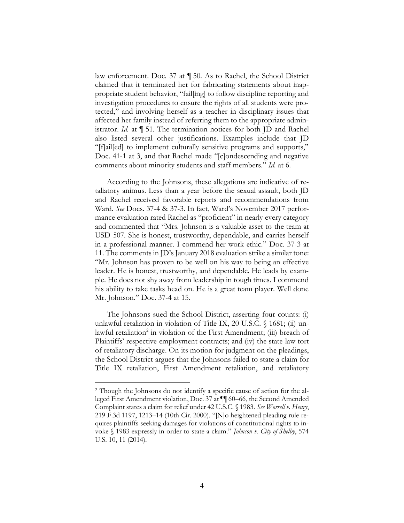law enforcement. Doc. 37 at ¶ 50. As to Rachel, the School District claimed that it terminated her for fabricating statements about inappropriate student behavior, "fail[ing] to follow discipline reporting and investigation procedures to ensure the rights of all students were protected," and involving herself as a teacher in disciplinary issues that affected her family instead of referring them to the appropriate administrator. *Id.* at ¶ 51. The termination notices for both JD and Rachel also listed several other justifications. Examples include that JD "[f]ail[ed] to implement culturally sensitive programs and supports," Doc. 41-1 at 3, and that Rachel made "[c]ondescending and negative comments about minority students and staff members." *Id.* at 6.

According to the Johnsons, these allegations are indicative of retaliatory animus. Less than a year before the sexual assault, both JD and Rachel received favorable reports and recommendations from Ward. *See* Docs. 37-4 & 37-3. In fact, Ward's November 2017 performance evaluation rated Rachel as "proficient" in nearly every category and commented that "Mrs. Johnson is a valuable asset to the team at USD 507. She is honest, trustworthy, dependable, and carries herself in a professional manner. I commend her work ethic." Doc. 37-3 at 11. The comments in JD's January 2018 evaluation strike a similar tone: "Mr. Johnson has proven to be well on his way to being an effective leader. He is honest, trustworthy, and dependable. He leads by example. He does not shy away from leadership in tough times. I commend his ability to take tasks head on. He is a great team player. Well done Mr. Johnson." Doc. 37-4 at 15.

The Johnsons sued the School District, asserting four counts: (i) unlawful retaliation in violation of Title IX, 20 U.S.C. § 1681; (ii) unlawful retaliation<sup>2</sup> in violation of the First Amendment; (iii) breach of Plaintiffs' respective employment contracts; and (iv) the state-law tort of retaliatory discharge. On its motion for judgment on the pleadings, the School District argues that the Johnsons failed to state a claim for Title IX retaliation, First Amendment retaliation, and retaliatory

<sup>2</sup> Though the Johnsons do not identify a specific cause of action for the alleged First Amendment violation, Doc. 37 at ¶¶ 60–66, the Second Amended Complaint states a claim for relief under 42 U.S.C. § 1983. *See Worrell v. Henry*, 219 F.3d 1197, 1213–14 (10th Cir. 2000). "[N]o heightened pleading rule requires plaintiffs seeking damages for violations of constitutional rights to invoke § 1983 expressly in order to state a claim." *Johnson v. City of Shelby*, 574 U.S. 10, 11 (2014).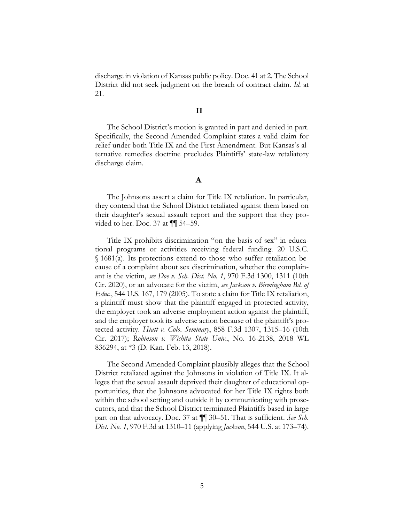discharge in violation of Kansas public policy. Doc. 41 at 2. The School District did not seek judgment on the breach of contract claim. *Id.* at 21.

### $\mathbf{I}$

The School District's motion is granted in part and denied in part. Specifically, the Second Amended Complaint states a valid claim for relief under both Title IX and the First Amendment. But Kansas's alternative remedies doctrine precludes Plaintiffs' state-law retaliatory discharge claim.

## $\mathbf A$

The Johnsons assert a claim for Title IX retaliation. In particular, they contend that the School District retaliated against them based on their daughter's sexual assault report and the support that they provided to her. Doc. 37 at ¶¶ 54–59.

Title IX prohibits discrimination "on the basis of sex" in educational programs or activities receiving federal funding. 20 U.S.C. § 1681(a). Its protections extend to those who suffer retaliation because of a complaint about sex discrimination, whether the complainant is the victim, *see Doe v. Sch. Dist. No. 1*, 970 F.3d 1300, 1311 (10th Cir. 2020), or an advocate for the victim, *see Jackson v. Birmingham Bd. of Educ.*, 544 U.S. 167, 179 (2005). To state a claim for Title IX retaliation, a plaintiff must show that the plaintiff engaged in protected activity, the employer took an adverse employment action against the plaintiff, and the employer took its adverse action because of the plaintiff's protected activity. *Hiatt v. Colo. Seminary*, 858 F.3d 1307, 1315–16 (10th Cir. 2017); *Robinson v. Wichita State Univ.*, No. 16-2138, 2018 WL 836294, at \*3 (D. Kan. Feb. 13, 2018).

The Second Amended Complaint plausibly alleges that the School District retaliated against the Johnsons in violation of Title IX. It alleges that the sexual assault deprived their daughter of educational opportunities, that the Johnsons advocated for her Title IX rights both within the school setting and outside it by communicating with prosecutors, and that the School District terminated Plaintiffs based in large part on that advocacy. Doc. 37 at ¶¶ 30–51. That is sufficient. *See Sch. Dist. No. 1*, 970 F.3d at 1310–11 (applying *Jackson*, 544 U.S. at 173–74).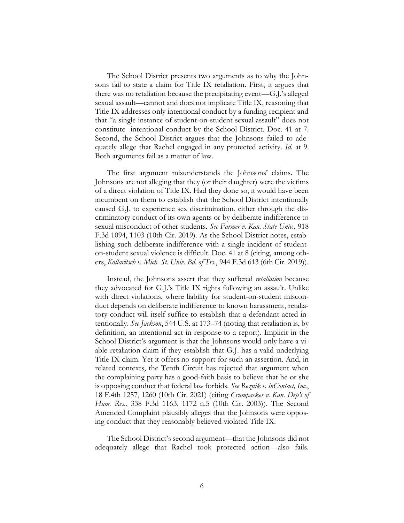The School District presents two arguments as to why the Johnsons fail to state a claim for Title IX retaliation. First, it argues that there was no retaliation because the precipitating event—G.J.'s alleged sexual assault—cannot and does not implicate Title IX, reasoning that Title IX addresses only intentional conduct by a funding recipient and that "a single instance of student-on-student sexual assault" does not constitute intentional conduct by the School District. Doc. 41 at 7. Second, the School District argues that the Johnsons failed to adequately allege that Rachel engaged in any protected activity. *Id.* at 9. Both arguments fail as a matter of law.

The first argument misunderstands the Johnsons' claims. The Johnsons are not alleging that they (or their daughter) were the victims of a direct violation of Title IX. Had they done so, it would have been incumbent on them to establish that the School District intentionally caused G.J. to experience sex discrimination, either through the discriminatory conduct of its own agents or by deliberate indifference to sexual misconduct of other students. *See Farmer v. Kan. State Univ.*, 918 F.3d 1094, 1103 (10th Cir. 2019). As the School District notes, establishing such deliberate indifference with a single incident of studenton-student sexual violence is difficult. Doc. 41 at 8 (citing, among others, *Kollaritsch v. Mich. St. Univ. Bd. of Trs.*, 944 F.3d 613 (6th Cir. 2019)).

Instead, the Johnsons assert that they suffered *retaliation* because they advocated for G.J.'s Title IX rights following an assault. Unlike with direct violations, where liability for student-on-student misconduct depends on deliberate indifference to known harassment, retaliatory conduct will itself suffice to establish that a defendant acted intentionally. *See Jackson*, 544 U.S. at 173–74 (noting that retaliation is, by definition, an intentional act in response to a report). Implicit in the School District's argument is that the Johnsons would only have a viable retaliation claim if they establish that G.J. has a valid underlying Title IX claim. Yet it offers no support for such an assertion. And, in related contexts, the Tenth Circuit has rejected that argument when the complaining party has a good-faith basis to believe that he or she is opposing conduct that federal law forbids. *See Reznik v. inContact, Inc.*, 18 F.4th 1257, 1260 (10th Cir. 2021) (citing *Crumpacker v. Kan. Dep't of Hum. Res.*, 338 F.3d 1163, 1172 n.5 (10th Cir. 2003)). The Second Amended Complaint plausibly alleges that the Johnsons were opposing conduct that they reasonably believed violated Title IX.

The School District's second argument—that the Johnsons did not adequately allege that Rachel took protected action—also fails.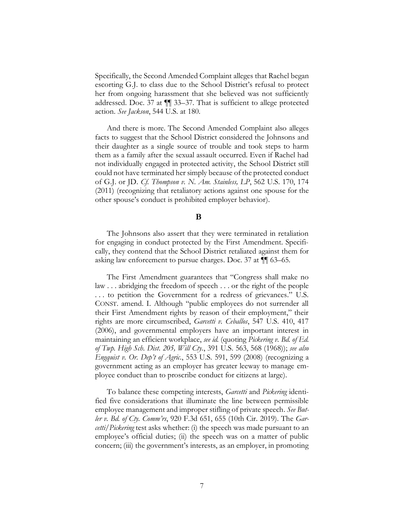Specifically, the Second Amended Complaint alleges that Rachel began escorting G.J. to class due to the School District's refusal to protect her from ongoing harassment that she believed was not sufficiently addressed. Doc. 37 at ¶¶ 33–37. That is sufficient to allege protected action. *See Jackson*, 544 U.S. at 180.

And there is more. The Second Amended Complaint also alleges facts to suggest that the School District considered the Johnsons and their daughter as a single source of trouble and took steps to harm them as a family after the sexual assault occurred. Even if Rachel had not individually engaged in protected activity, the School District still could not have terminated her simply because of the protected conduct of G.J. or JD. *Cf. Thompson v. N. Am. Stainless, LP*, 562 U.S. 170, 174 (2011) (recognizing that retaliatory actions against one spouse for the other spouse's conduct is prohibited employer behavior).

#### B

The Johnsons also assert that they were terminated in retaliation for engaging in conduct protected by the First Amendment. Specifically, they contend that the School District retaliated against them for asking law enforcement to pursue charges. Doc. 37 at ¶¶ 63–65.

The First Amendment guarantees that "Congress shall make no law . . . abridging the freedom of speech . . . or the right of the people . . . to petition the Government for a redress of grievances." U.S. CONST. amend. I. Although "public employees do not surrender all their First Amendment rights by reason of their employment," their rights are more circumscribed, *Garcetti v. Ceballos*, 547 U.S. 410, 417 (2006), and governmental employers have an important interest in maintaining an efficient workplace, *see id.* (quoting *Pickering v. Bd. of Ed. of Twp. High Sch. Dist. 205, Will Cty.*, 391 U.S. 563, 568 (1968)); *see also Engquist v. Or. Dep't of Agric.*, 553 U.S. 591, 599 (2008) (recognizing a government acting as an employer has greater leeway to manage employee conduct than to proscribe conduct for citizens at large).

To balance these competing interests, *Garcetti* and *Pickering* identified five considerations that illuminate the line between permissible employee management and improper stifling of private speech. *See Butler v. Bd. of Cty. Comm'rs*, 920 F.3d 651, 655 (10th Cir. 2019). The *Garcetti*/*Pickering* test asks whether: (i) the speech was made pursuant to an employee's official duties; (ii) the speech was on a matter of public concern; (iii) the government's interests, as an employer, in promoting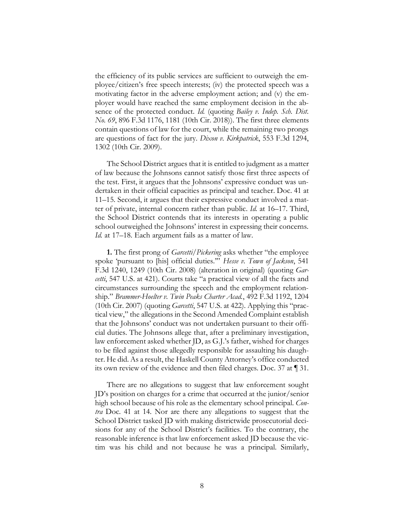the efficiency of its public services are sufficient to outweigh the employee/citizen's free speech interests; (iv) the protected speech was a motivating factor in the adverse employment action; and (v) the employer would have reached the same employment decision in the absence of the protected conduct. *Id.* (quoting *Bailey v. Indep. Sch. Dist. No. 69*, 896 F.3d 1176, 1181 (10th Cir. 2018)). The first three elements contain questions of law for the court, while the remaining two prongs are questions of fact for the jury. *Dixon v. Kirkpatrick*, 553 F.3d 1294, 1302 (10th Cir. 2009).

The School District argues that it is entitled to judgment as a matter of law because the Johnsons cannot satisfy those first three aspects of the test. First, it argues that the Johnsons' expressive conduct was undertaken in their official capacities as principal and teacher. Doc. 41 at 11–15. Second, it argues that their expressive conduct involved a matter of private, internal concern rather than public. *Id.* at 16–17. Third, the School District contends that its interests in operating a public school outweighed the Johnsons' interest in expressing their concerns. *Id.* at 17–18. Each argument fails as a matter of law.

**1.** The first prong of *Garcetti/Pickering* asks whether "the employee spoke 'pursuant to [his] official duties.'" *Hesse v. Town of Jackson*, 541 F.3d 1240, 1249 (10th Cir. 2008) (alteration in original) (quoting *Garcetti*, 547 U.S. at 421). Courts take "a practical view of all the facts and circumstances surrounding the speech and the employment relationship." *Brammer-Hoelter v. Twin Peaks Charter Acad.*, 492 F.3d 1192, 1204 (10th Cir. 2007) (quoting *Garcetti*, 547 U.S. at 422). Applying this "practical view," the allegations in the Second Amended Complaint establish that the Johnsons' conduct was not undertaken pursuant to their official duties. The Johnsons allege that, after a preliminary investigation, law enforcement asked whether JD, as G.J.'s father, wished for charges to be filed against those allegedly responsible for assaulting his daughter. He did. As a result, the Haskell County Attorney's office conducted its own review of the evidence and then filed charges. Doc. 37 at ¶ 31.

There are no allegations to suggest that law enforcement sought JD's position on charges for a crime that occurred at the junior/senior high school because of his role as the elementary school principal. *Contra* Doc. 41 at 14. Nor are there any allegations to suggest that the School District tasked JD with making districtwide prosecutorial decisions for any of the School District's facilities. To the contrary, the reasonable inference is that law enforcement asked JD because the victim was his child and not because he was a principal. Similarly,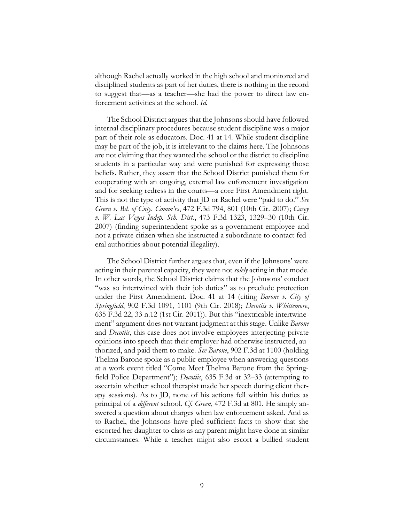although Rachel actually worked in the high school and monitored and disciplined students as part of her duties, there is nothing in the record to suggest that—as a teacher—she had the power to direct law enforcement activities at the school. *Id.* 

The School District argues that the Johnsons should have followed internal disciplinary procedures because student discipline was a major part of their role as educators. Doc. 41 at 14. While student discipline may be part of the job, it is irrelevant to the claims here. The Johnsons are not claiming that they wanted the school or the district to discipline students in a particular way and were punished for expressing those beliefs. Rather, they assert that the School District punished them for cooperating with an ongoing, external law enforcement investigation and for seeking redress in the courts—a core First Amendment right. This is not the type of activity that JD or Rachel were "paid to do." *See Green v. Bd. of Cnty. Comm'rs*, 472 F.3d 794, 801 (10th Cir. 2007); *Casey v. W. Las Vegas Indep. Sch. Dist.*, 473 F.3d 1323, 1329–30 (10th Cir. 2007) (finding superintendent spoke as a government employee and not a private citizen when she instructed a subordinate to contact federal authorities about potential illegality).

The School District further argues that, even if the Johnsons' were acting in their parental capacity, they were not *solely* acting in that mode. In other words, the School District claims that the Johnsons' conduct "was so intertwined with their job duties" as to preclude protection under the First Amendment. Doc. 41 at 14 (citing *Barone v. City of Springfield*, 902 F.3d 1091, 1101 (9th Cir. 2018); *Decotiis v. Whittemore*, 635 F.3d 22, 33 n.12 (1st Cir. 2011)). But this "inextricable intertwinement" argument does not warrant judgment at this stage. Unlike *Barone* and *Decotiis*, this case does not involve employees interjecting private opinions into speech that their employer had otherwise instructed, authorized, and paid them to make. *See Barone*, 902 F.3d at 1100 (holding Thelma Barone spoke as a public employee when answering questions at a work event titled "Come Meet Thelma Barone from the Springfield Police Department"); *Decotiis*, 635 F.3d at 32–33 (attempting to ascertain whether school therapist made her speech during client therapy sessions). As to JD, none of his actions fell within his duties as principal of a *different* school. *Cf. Green*, 472 F.3d at 801. He simply answered a question about charges when law enforcement asked. And as to Rachel, the Johnsons have pled sufficient facts to show that she escorted her daughter to class as any parent might have done in similar circumstances. While a teacher might also escort a bullied student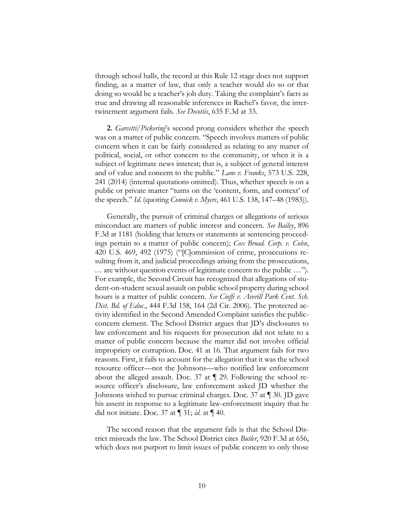through school halls, the record at this Rule 12 stage does not support finding, as a matter of law, that only a teacher would do so or that doing so would be a teacher's job duty. Taking the complaint's facts as true and drawing all reasonable inferences in Rachel's favor, the intertwinement argument fails. *See Decotiis*, 635 F.3d at 33.

**2.** *Garcetti*/*Pickering*'s second prong considers whether the speech was on a matter of public concern. "Speech involves matters of public concern when it can be fairly considered as relating to any matter of political, social, or other concern to the community, or when it is a subject of legitimate news interest; that is, a subject of general interest and of value and concern to the public." *Lane v. Franks*, 573 U.S. 228, 241 (2014) (internal quotations omitted). Thus, whether speech is on a public or private matter "turns on the 'content, form, and context' of the speech." *Id.* (quoting *Connick v. Myers*, 461 U.S. 138, 147–48 (1983)).

Generally, the pursuit of criminal charges or allegations of serious misconduct are matters of public interest and concern. *See Bailey*, 896 F.3d at 1181 (holding that letters or statements at sentencing proceedings pertain to a matter of public concern); *Cox Broad. Corp. v. Cohn*, 420 U.S. 469, 492 (1975) ("[C]ommission of crime, prosecutions resulting from it, and judicial proceedings arising from the prosecutions, ... are without question events of legitimate concern to the public …"). For example, the Second Circuit has recognized that allegations of student-on-student sexual assault on public school property during school hours is a matter of public concern. *See Cioffi v. Averill Park Cent. Sch. Dist. Bd. of Educ.*, 444 F.3d 158, 164 (2d Cir. 2006). The protected activity identified in the Second Amended Complaint satisfies the publicconcern element. The School District argues that JD's disclosures to law enforcement and his requests for prosecution did not relate to a matter of public concern because the matter did not involve official impropriety or corruption. Doc. 41 at 16. That argument fails for two reasons. First, it fails to account for the allegation that it was the school resource officer—not the Johnsons—who notified law enforcement about the alleged assault. Doc. 37 at ¶ 29. Following the school resource officer's disclosure, law enforcement asked JD whether the Johnsons wished to pursue criminal charges. Doc. 37 at ¶ 30. JD gave his assent in response to a legitimate law-enforcement inquiry that he did not initiate. Doc. 37 at ¶ 31; *id.* at ¶ 40.

The second reason that the argument fails is that the School District misreads the law. The School District cites *Butler*, 920 F.3d at 656, which does not purport to limit issues of public concern to only those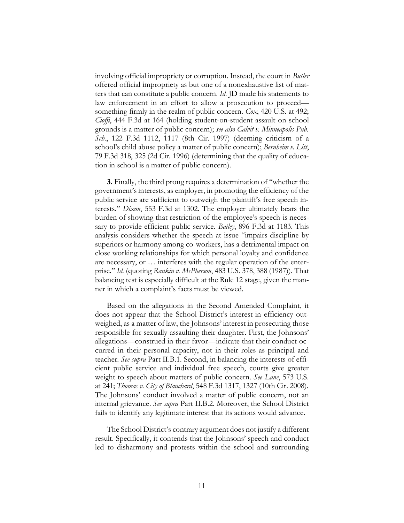involving official impropriety or corruption. Instead, the court in *Butler* offered official impropriety as but one of a nonexhaustive list of matters that can constitute a public concern. *Id.* JD made his statements to law enforcement in an effort to allow a prosecution to proceed something firmly in the realm of public concern. *Cox*, 420 U.S. at 492; *Cioffi*, 444 F.3d at 164 (holding student-on-student assault on school grounds is a matter of public concern); *see also Calvit v. Minneapolis Pub. Sch.*, 122 F.3d 1112, 1117 (8th Cir. 1997) (deeming criticism of a school's child abuse policy a matter of public concern); *Bernheim v. Litt*, 79 F.3d 318, 325 (2d Cir. 1996) (determining that the quality of education in school is a matter of public concern).

**3.** Finally, the third prong requires a determination of "whether the government's interests, as employer, in promoting the efficiency of the public service are sufficient to outweigh the plaintiff's free speech interests." *Dixon*, 553 F.3d at 1302. The employer ultimately bears the burden of showing that restriction of the employee's speech is necessary to provide efficient public service. *Bailey*, 896 F.3d at 1183. This analysis considers whether the speech at issue "impairs discipline by superiors or harmony among co-workers, has a detrimental impact on close working relationships for which personal loyalty and confidence are necessary, or … interferes with the regular operation of the enterprise." *Id.* (quoting *Rankin v. McPherson*, 483 U.S. 378, 388 (1987)). That balancing test is especially difficult at the Rule 12 stage, given the manner in which a complaint's facts must be viewed.

Based on the allegations in the Second Amended Complaint, it does not appear that the School District's interest in efficiency outweighed, as a matter of law, the Johnsons' interest in prosecuting those responsible for sexually assaulting their daughter. First, the Johnsons' allegations—construed in their favor—indicate that their conduct occurred in their personal capacity, not in their roles as principal and teacher. *See supra* Part II.B.1. Second, in balancing the interests of efficient public service and individual free speech, courts give greater weight to speech about matters of public concern. *See Lane*, 573 U.S. at 241; *Thomas v. City of Blanchard*, 548 F.3d 1317, 1327 (10th Cir. 2008). The Johnsons' conduct involved a matter of public concern, not an internal grievance. *See supra* Part II.B.2. Moreover, the School District fails to identify any legitimate interest that its actions would advance.

The School District's contrary argument does not justify a different result. Specifically, it contends that the Johnsons' speech and conduct led to disharmony and protests within the school and surrounding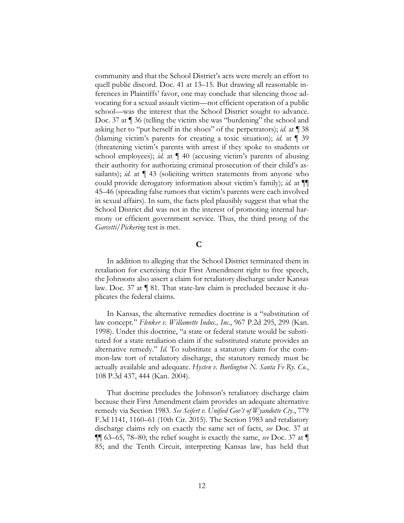community and that the School District's acts were merely an effort to quell public discord. Doc. 41 at 13–15. But drawing all reasonable inferences in Plaintiffs' favor, one may conclude that silencing those advocating for a sexual assault victim—not efficient operation of a public school—was the interest that the School District sought to advance. Doc. 37 at ¶ 36 (telling the victim she was "burdening" the school and asking her to "put herself in the shoes" of the perpetrators); *id.* at ¶ 38 (blaming victim's parents for creating a toxic situation); *id.* at ¶ 39 (threatening victim's parents with arrest if they spoke to students or school employees); *id.* at ¶ 40 (accusing victim's parents of abusing their authority for authorizing criminal prosecution of their child's assailants); *id.* at  $\P$  43 (soliciting written statements from anyone who could provide derogatory information about victim's family); *id.* at ¶¶ 45–46 (spreading false rumors that victim's parents were each involved in sexual affairs). In sum, the facts pled plausibly suggest that what the School District did was not in the interest of promoting internal harmony or efficient government service. Thus, the third prong of the *Garcetti*/*Pickering* test is met.

# $\mathbf C$

In addition to alleging that the School District terminated them in retaliation for exercising their First Amendment right to free speech, the Johnsons also assert a claim for retaliatory discharge under Kansas law. Doc. 37 at ¶ 81. That state-law claim is precluded because it duplicates the federal claims.

In Kansas, the alternative remedies doctrine is a "substitution of law concept." *Flenker v. Willamette Indus., Inc.*, 967 P.2d 295, 299 (Kan. 1998). Under this doctrine, "a state or federal statute would be substituted for a state retaliation claim if the substituted statute provides an alternative remedy." *Id.* To substitute a statutory claim for the common-law tort of retaliatory discharge, the statutory remedy must be actually available and adequate. *Hysten v. Burlington N. Santa Fe Ry. Co.*, 108 P.3d 437, 444 (Kan. 2004).

That doctrine precludes the Johnson's retaliatory discharge claim because their First Amendment claim provides an adequate alternative remedy via Section 1983. *See Seifert v. Unified Gov't of Wyandotte Cty.*, 779 F.3d 1141, 1160–61 (10th Cir. 2015). The Section 1983 and retaliatory discharge claims rely on exactly the same set of facts, *see* Doc. 37 at ¶¶ 63–65, 78–80; the relief sought is exactly the same, *see* Doc. 37 at ¶ 85; and the Tenth Circuit, interpreting Kansas law, has held that